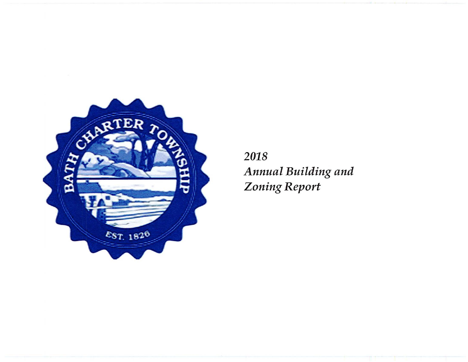

2018 Annual Building and **Zoning Report**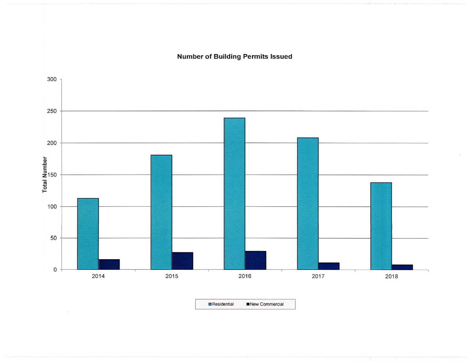**Number of Building Permits Issued** 



 $\blacksquare$  Residential New Commercial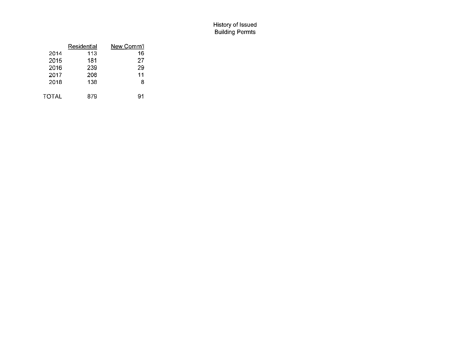## History of Issued Building Permts

|              | Residential | New Comm'l |
|--------------|-------------|------------|
| 2014         | 113         | 16         |
| 2015         | 181         | 27         |
| 2016         | 239         | 29         |
| 2017         | 208         | 11         |
| 2018         | 138         | 8          |
| <b>TOTAL</b> | 879         | 91         |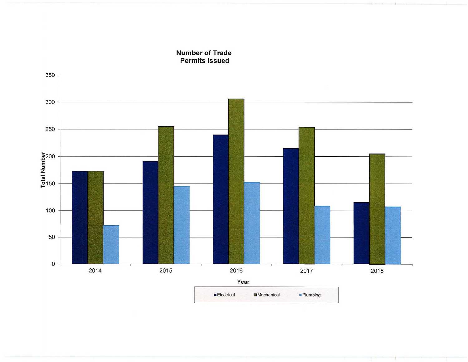

**Number of Trade Permits Issued**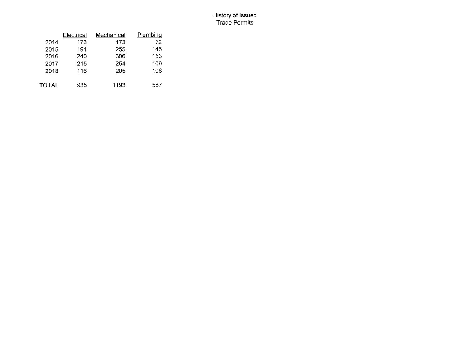## History of Issued Trade Permits

|       | Electrical | Mechanical | Plumbing |
|-------|------------|------------|----------|
| 2014  | 173        | 173        | 72       |
| 2015  | 191        | 255        | 145      |
| 2016  | 240        | 306        | 153      |
| 2017  | 215        | 254        | 109      |
| 2018  | 116        | 205        | 108      |
| TOTAL | 935        | 1193       | 587      |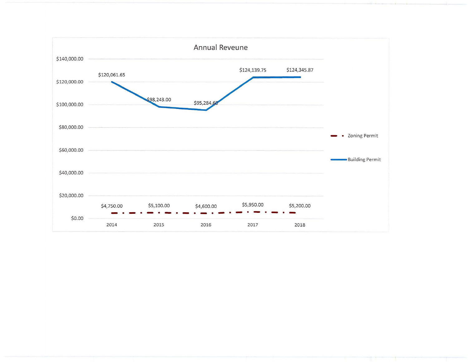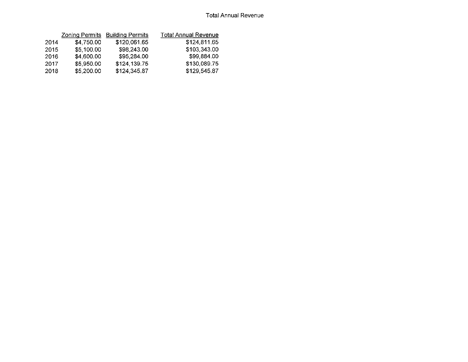|      | <b>Zoning Permits</b> | <b>Building Permits</b> | <b>Total Annual Revenue</b> |
|------|-----------------------|-------------------------|-----------------------------|
| 2014 | \$4,750.00            | \$120,061.65            | \$124,811.65                |
| 2015 | \$5,100.00            | \$98,243.00             | \$103,343.00                |
| 2016 | \$4,600.00            | \$95,284.00             | \$99,884.00                 |
| 2017 | \$5,950.00            | \$124,139.75            | \$130,089.75                |
| 2018 | \$5,200.00            | \$124,345.87            | \$129,545.87                |